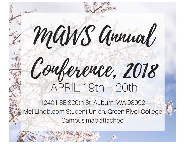# Conference, 2018 APRIL 19th + 20th

MANS Annal

12401 SE 320th St, Auburn, WA 98092 Mel Lindbloom Student Union, Green River College Campus map attached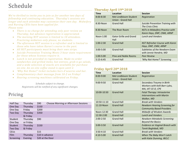## Schedule

*We're thrilled to invite you to join us for another two days of fellowship and continuing education. Thursday's sessions are longer and each attendee may customize their own day. Midwifery and Nursing CEUs have been applied for. Please note:* 

- *There is no charge for attending only peer review on Thursday, but advance registration is appreciated.*
- *The morning NST session is limited to 10 attendees. Practicing midwives only please, no students.*
- *The afternoon NST session is a refresher and is limited to those who have taken Karen's course in the past.*
- *All NST participants must bring their own strips.*
- *Suicide Prevention Training Meets 3 hour state requirement for those whose licenses require it.*
- *Lunch is not provided in registration. Made-to-order sandwiches and grilled items, hot entrees, grab-n-go salads, and a wide selection of snacks are available for purchase on-site. An on-site coffee stand is open until 2.*
- *'Why Not Home?' ticket includes hors d'oeuvres and bar.*
- *Complimentary chair massage from 10-2 on Friday!*
- *Hearing screening machines calibrated on Friday.*

*Schedule subject to change. Registrants will be notified of any significant changes.*

### Pricing

| Half Day           | Thursday              | \$90                                | Choose Morning or Afternoon Sessions |
|--------------------|-----------------------|-------------------------------------|--------------------------------------|
| One Day            | Thursday              | \$150                               |                                      |
| One Day            | Friday                | \$200                               |                                      |
| Two Day            | Thursday<br>& Friday  | \$350                               |                                      |
| Student<br>One Day | Thursday<br>or Friday | \$90                                |                                      |
| Student<br>Two Day | Thursday<br>& Friday  | \$150                               |                                      |
| <b>CEUs</b>        |                       | \$15                                |                                      |
| Film<br>Screening  | Thursday<br>Evening   | \$10 in advance<br>\$20 at the Door |                                      |
|                    |                       |                                     |                                      |

#### **Thursday April 19th 2018**

| <b>Time</b>   | Location                                           | <b>Session</b>                                                       |
|---------------|----------------------------------------------------|----------------------------------------------------------------------|
| $8:00 - 8:30$ | Mel Lindbloom Student<br><b>Union - Grand Hall</b> | Registration                                                         |
| 8:30-Noon     | <b>Grand Hall</b>                                  | <b>Suicide Prevention Training with</b><br>The Crisis Clinic         |
| 8:30-Noon     | The River Room                                     | <b>NSTs in Midwifery Practice with</b><br>Karen Hays, DNP, CNM, ARNP |
| Noon-1:00     | <b>Gator Grille and Grand</b><br>Hall              | <b>Lunch and Vendors</b>                                             |
| $1:00-2:30$   | <b>Grand Hall</b>                                  | <b>NST Refresher Course with Karen</b><br>Hays, DNP, CNM, ARNP       |
| $3:00 - 5:00$ | <b>Grand Hall</b>                                  | Subtleties of the Newborn Exam<br>with Jennie Hendrie, MD            |
| 1:00-5:00     | Pine and Noble Rooms                               | <b>Peer Review</b>                                                   |
| $5:15-6:45$   | <b>Grand Hall</b>                                  | 'Why Not Home?' Screening                                            |

#### **Friday April 20th 2018**

| <b>Time</b>   | <b>Location</b>                                    | <b>Session</b>                                                                       |
|---------------|----------------------------------------------------|--------------------------------------------------------------------------------------|
| $8:00 - 9:00$ | Mel Lindbloom Student<br><b>Union - Grand Hall</b> | Registration                                                                         |
| 9:00-9:50     | <b>Grand Hall</b>                                  | Secondary Trauma in Birth<br>Workers with Kelli Barr-Lyles,<br>MA, IAT-CE-D, CPE     |
| 10:00-10:50   | <b>Grand Hall</b>                                  | <b>Fetal Therapy: Intrauterine</b><br><b>Interventions with Martin</b><br>Walker, MD |
| 10:50-11:10   | <b>Grand Hall</b>                                  | <b>Break with Vendors</b>                                                            |
| 11:10-Noon    | <b>Grand Hall</b>                                  | <b>Newborn Hearing Screening for</b><br><b>Community Based Providers</b>             |
| Noon-12:30    | <b>Grand Hall</b>                                  | Midwife of Wisdom Awards                                                             |
| 12:30-2:00    | <b>Grand Hall</b>                                  | <b>Lunch and Vendors</b>                                                             |
| $2:00-2:50$   | <b>Grand Hall</b>                                  | <b>Newborn Metabolic Screening:</b><br><b>Beyond the Basics</b>                      |
| 3:00-3:50     | <b>Grand Hall</b>                                  | Evidence on Vaginal Breech with<br>Tarek Baghdadi, MD                                |
| $3:50-4:10$   | <b>Grand Hall</b>                                  | <b>Break with Vendors</b>                                                            |
| 4:10-5:00     | <b>Grand Hall</b>                                  | When The Baby Won't Latch<br>with Katie Dunning, IBCLC                               |